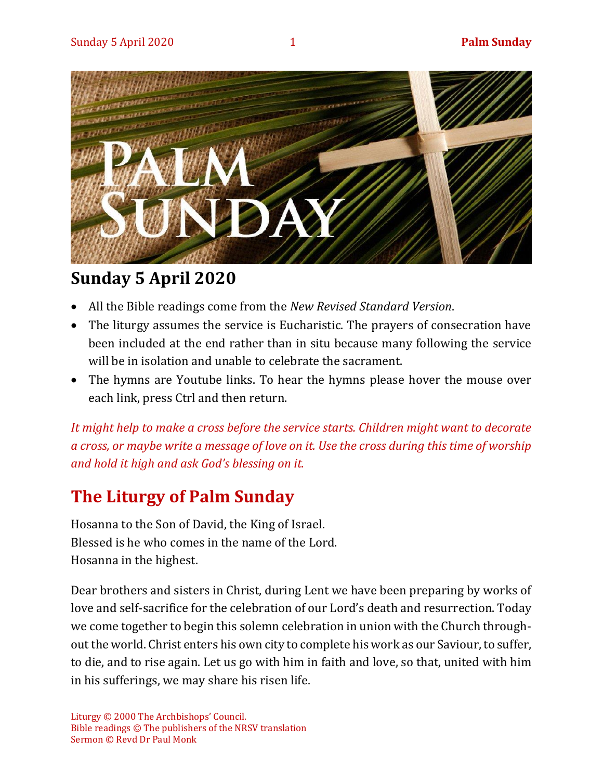

# **Sunday 5 April 2020**

- All the Bible readings come from the *New Revised Standard Version*.
- The liturgy assumes the service is Eucharistic. The prayers of consecration have been included at the end rather than in situ because many following the service will be in isolation and unable to celebrate the sacrament.
- The hymns are Youtube links. To hear the hymns please hover the mouse over each link, press Ctrl and then return.

*It might help to make a cross before the service starts. Children might want to decorate a cross, or maybe write a message of love on it. Use the cross during this time of worship and hold it high and ask God's blessing on it.* 

# **The Liturgy of Palm Sunday**

Hosanna to the Son of David, the King of Israel. Blessed is he who comes in the name of the Lord. Hosanna in the highest.

Dear brothers and sisters in Christ, during Lent we have been preparing by works of love and self-sacrifice for the celebration of our Lord's death and resurrection. Today we come together to begin this solemn celebration in union with the Church throughout the world. Christ enters his own city to complete his work as our Saviour, to suffer, to die, and to rise again. Let us go with him in faith and love, so that, united with him in his sufferings, we may share his risen life.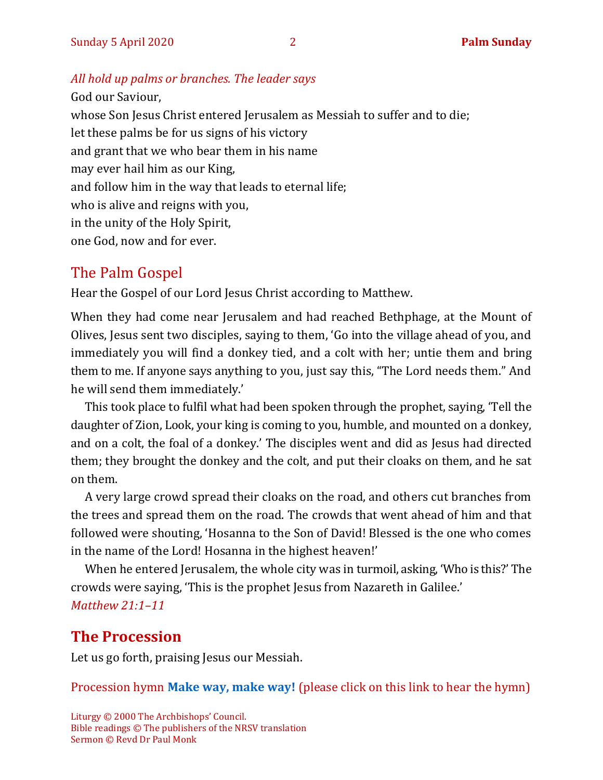#### *All hold up palms or branches. The leader says*

God our Saviour, whose Son Jesus Christ entered Jerusalem as Messiah to suffer and to die; let these palms be for us signs of his victory and grant that we who bear them in his name may ever hail him as our King, and follow him in the way that leads to eternal life; who is alive and reigns with you, in the unity of the Holy Spirit, one God, now and for ever.

## The Palm Gospel

Hear the Gospel of our Lord Jesus Christ according to Matthew.

When they had come near Jerusalem and had reached Bethphage, at the Mount of Olives, Jesus sent two disciples, saying to them, 'Go into the village ahead of you, and immediately you will find a donkey tied, and a colt with her; untie them and bring them to me. If anyone says anything to you, just say this, "The Lord needs them." And he will send them immediately.'

This took place to fulfil what had been spoken through the prophet, saying, 'Tell the daughter of Zion, Look, your king is coming to you, humble, and mounted on a donkey, and on a colt, the foal of a donkey.' The disciples went and did as Jesus had directed them; they brought the donkey and the colt, and put their cloaks on them, and he sat on them.

A very large crowd spread their cloaks on the road, and others cut branches from the trees and spread them on the road. The crowds that went ahead of him and that followed were shouting, 'Hosanna to the Son of David! Blessed is the one who comes in the name of the Lord! Hosanna in the highest heaven!'

When he entered Jerusalem, the whole city was in turmoil, asking, 'Who is this?' The crowds were saying, 'This is the prophet Jesus from Nazareth in Galilee.' *Matthew 21:1–11*

## **The Procession**

Let us go forth, praising Jesus our Messiah.

Procession hymn **[Make way, make way!](https://www.youtube.com/watch?v=78iCdVc5LVM)** (please click on this link to hear the hymn)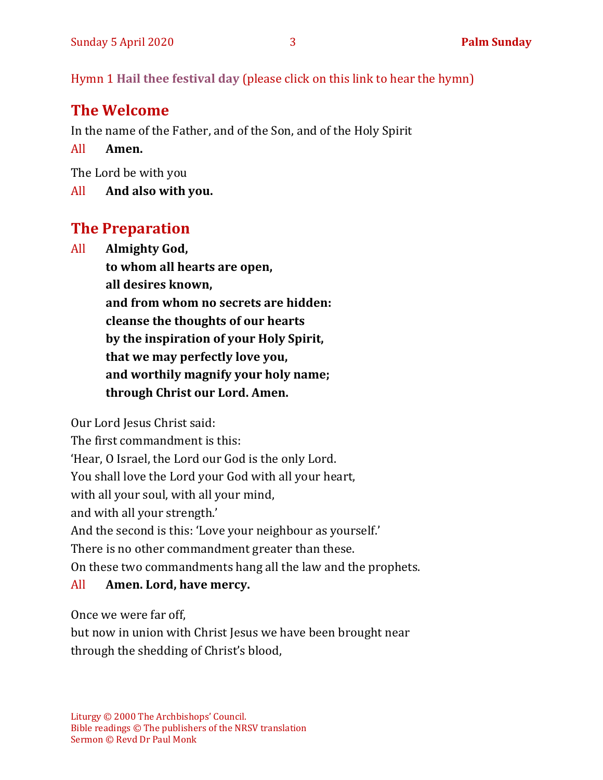Hymn 1 **[Hail thee festival](https://www.youtube.com/watch?v=ydV1FkoeDWw) day** (please click on this link to hear the hymn)

# **The Welcome**

In the name of the Father, and of the Son, and of the Holy Spirit

All **Amen.**

The Lord be with you

## All **And also with you.**

# **The Preparation**

All **Almighty God, to whom all hearts are open, all desires known, and from whom no secrets are hidden: cleanse the thoughts of our hearts by the inspiration of your Holy Spirit, that we may perfectly love you, and worthily magnify your holy name; through Christ our Lord. Amen.**

Our Lord Jesus Christ said:

The first commandment is this:

'Hear, O Israel, the Lord our God is the only Lord.

You shall love the Lord your God with all your heart,

with all your soul, with all your mind,

and with all your strength.'

And the second is this: 'Love your neighbour as yourself.'

There is no other commandment greater than these.

On these two commandments hang all the law and the prophets.

## All **Amen. Lord, have mercy.**

Once we were far off,

but now in union with Christ Jesus we have been brought near through the shedding of Christ's blood,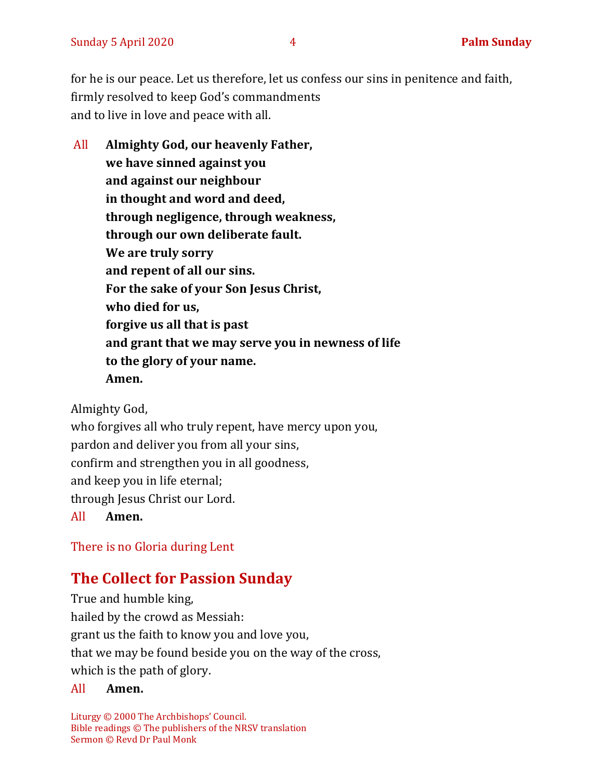for he is our peace. Let us therefore, let us confess our sins in penitence and faith, firmly resolved to keep God's commandments and to live in love and peace with all.

All **Almighty God, our heavenly Father, we have sinned against you and against our neighbour in thought and word and deed, through negligence, through weakness, through our own deliberate fault. We are truly sorry and repent of all our sins. For the sake of your Son Jesus Christ, who died for us, forgive us all that is past and grant that we may serve you in newness of life to the glory of your name. Amen.**

Almighty God,

who forgives all who truly repent, have mercy upon you, pardon and deliver you from all your sins, confirm and strengthen you in all goodness, and keep you in life eternal; through Jesus Christ our Lord.

All **Amen.**

There is no Gloria during Lent

# **The Collect for Passion Sunday**

True and humble king, hailed by the crowd as Messiah: grant us the faith to know you and love you, that we may be found beside you on the way of the cross, which is the path of glory.

#### All **Amen.**

Liturgy © 2000 The Archbishops' Council. Bible readings © The publishers of the NRSV translation Sermon © Revd Dr Paul Monk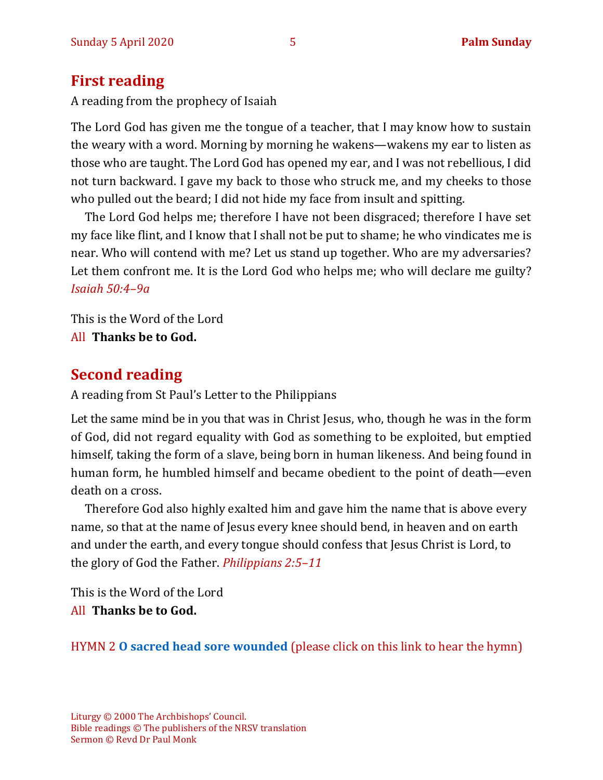# **First reading**

A reading from the prophecy of Isaiah

The Lord God has given me the tongue of a teacher, that I may know how to sustain the weary with a word. Morning by morning he wakens—wakens my ear to listen as those who are taught. The Lord God has opened my ear, and I was not rebellious, I did not turn backward. I gave my back to those who struck me, and my cheeks to those who pulled out the beard; I did not hide my face from insult and spitting.

The Lord God helps me; therefore I have not been disgraced; therefore I have set my face like flint, and I know that I shall not be put to shame; he who vindicates me is near. Who will contend with me? Let us stand up together. Who are my adversaries? Let them confront me. It is the Lord God who helps me; who will declare me guilty? *Isaiah 50:4–9a*

This is the Word of the Lord All **Thanks be to God.**

# **Second reading**

A reading from St Paul's Letter to the Philippians

Let the same mind be in you that was in Christ Jesus, who, though he was in the form of God, did not regard equality with God as something to be exploited, but emptied himself, taking the form of a slave, being born in human likeness. And being found in human form, he humbled himself and became obedient to the point of death—even death on a cross.

Therefore God also highly exalted him and gave him the name that is above every name, so that at the name of Jesus every knee should bend, in heaven and on earth and under the earth, and every tongue should confess that Jesus Christ is Lord, to the glory of God the Father. *Philippians 2:5–11*

This is the Word of the Lord All **Thanks be to God.**

HYMN 2 **[O sacred head sore wounded](https://www.youtube.com/watch?v=0gHS7a4Okq8)** (please click on this link to hear the hymn)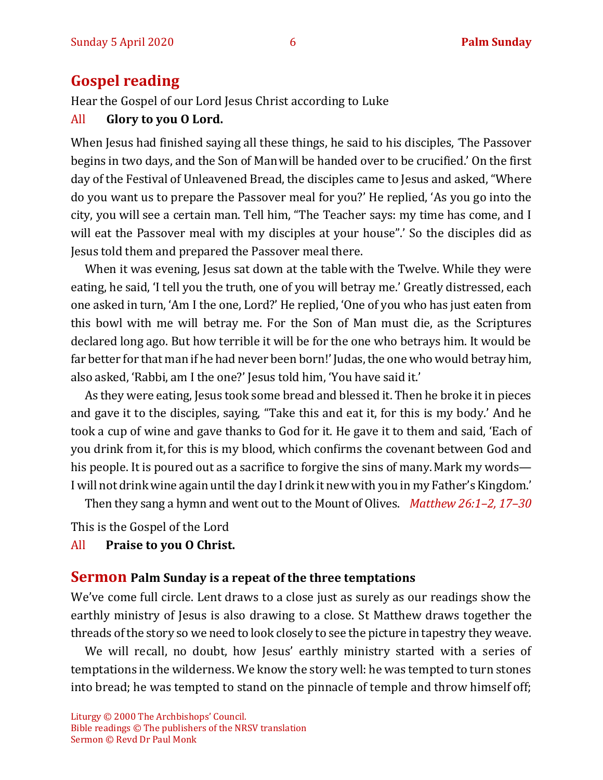## **Gospel reading**

Hear the Gospel of our Lord Jesus Christ according to Luke

#### All **Glory to you O Lord.**

When Jesus had finished saying all these things, he said to his disciples, 'The Passover begins in two days, and the Son of Manwill be handed over to be crucified.' On the first day of the Festival of Unleavened Bread, the disciples came to Jesus and asked, "Where do you want us to prepare the Passover meal for you?' He replied, 'As you go into the city, you will see a certain man. Tell him, "The Teacher says: my time has come, and I will eat the Passover meal with my disciples at your house".' So the disciples did as Jesus told them and prepared the Passover meal there.

When it was evening, Jesus sat down at the table with the Twelve. While they were eating, he said, 'I tell you the truth, one of you will betray me.' Greatly distressed, each one asked in turn, 'Am I the one, Lord?' He replied, 'One of you who has just eaten from this bowl with me will betray me. For the Son of Man must die, as the Scriptures declared long ago. But how terrible it will be for the one who betrays him. It would be far better for that man if he had never been born!' Judas, the one who would betray him, also asked, 'Rabbi, am I the one?' Jesus told him, 'You have said it.'

As they were eating, Jesus took some bread and blessed it. Then he broke it in pieces and gave it to the disciples, saying, "Take this and eat it, for this is my body.' And he took a cup of wine and gave thanks to God for it. He gave it to them and said, 'Each of you drink from it, for this is my blood, which confirms the covenant between God and his people. It is poured out as a sacrifice to forgive the sins of many. Mark my words— I will not drink wine again until the day I drink it new with you in my Father's Kingdom.'

Then they sang a hymn and went out to the Mount of Olives. *Matthew 26:1–2, 17–30*

This is the Gospel of the Lord

#### All **Praise to you O Christ.**

#### **Sermon Palm Sunday is a repeat of the three temptations**

We've come full circle. Lent draws to a close just as surely as our readings show the earthly ministry of Jesus is also drawing to a close. St Matthew draws together the threads of the story so we need to look closely to see the picture in tapestry they weave.

We will recall, no doubt, how Jesus' earthly ministry started with a series of temptations in the wilderness. We know the story well: he was tempted to turn stones into bread; he was tempted to stand on the pinnacle of temple and throw himself off;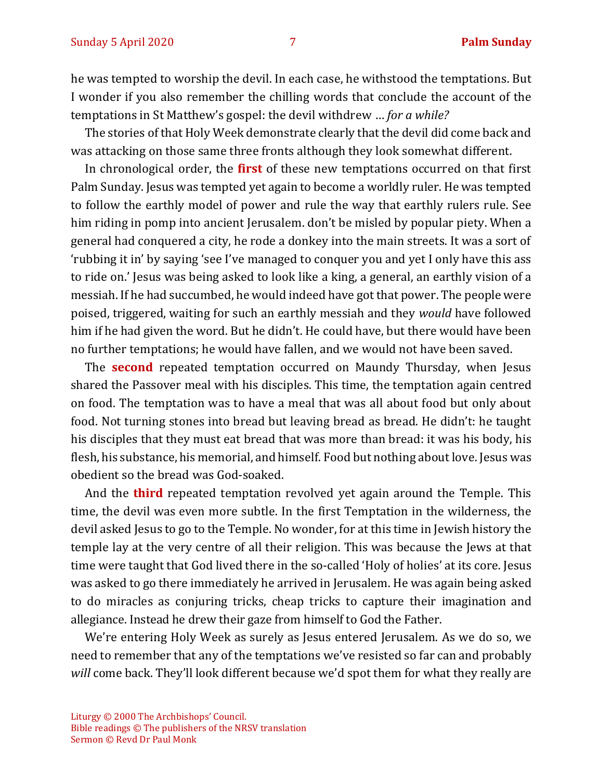he was tempted to worship the devil. In each case, he withstood the temptations. But I wonder if you also remember the chilling words that conclude the account of the temptations in St Matthew's gospel: the devil withdrew … *for a while?*

The stories of that Holy Week demonstrate clearly that the devil did come back and was attacking on those same three fronts although they look somewhat different.

In chronological order, the **first** of these new temptations occurred on that first Palm Sunday. Jesus was tempted yet again to become a worldly ruler. He was tempted to follow the earthly model of power and rule the way that earthly rulers rule. See him riding in pomp into ancient Jerusalem. don't be misled by popular piety. When a general had conquered a city, he rode a donkey into the main streets. It was a sort of 'rubbing it in' by saying 'see I've managed to conquer you and yet I only have this ass to ride on.' Jesus was being asked to look like a king, a general, an earthly vision of a messiah. If he had succumbed, he would indeed have got that power. The people were poised, triggered, waiting for such an earthly messiah and they *would* have followed him if he had given the word. But he didn't. He could have, but there would have been no further temptations; he would have fallen, and we would not have been saved.

The **second** repeated temptation occurred on Maundy Thursday, when Jesus shared the Passover meal with his disciples. This time, the temptation again centred on food. The temptation was to have a meal that was all about food but only about food. Not turning stones into bread but leaving bread as bread. He didn't: he taught his disciples that they must eat bread that was more than bread: it was his body, his flesh, his substance, his memorial, and himself. Food but nothing about love. Jesus was obedient so the bread was God-soaked.

And the **third** repeated temptation revolved yet again around the Temple. This time, the devil was even more subtle. In the first Temptation in the wilderness, the devil asked Jesus to go to the Temple. No wonder, for at this time in Jewish history the temple lay at the very centre of all their religion. This was because the Jews at that time were taught that God lived there in the so-called 'Holy of holies' at its core. Jesus was asked to go there immediately he arrived in Jerusalem. He was again being asked to do miracles as conjuring tricks, cheap tricks to capture their imagination and allegiance. Instead he drew their gaze from himself to God the Father.

We're entering Holy Week as surely as Jesus entered Jerusalem. As we do so, we need to remember that any of the temptations we've resisted so far can and probably will come back. They'll look different because we'd spot them for what they really are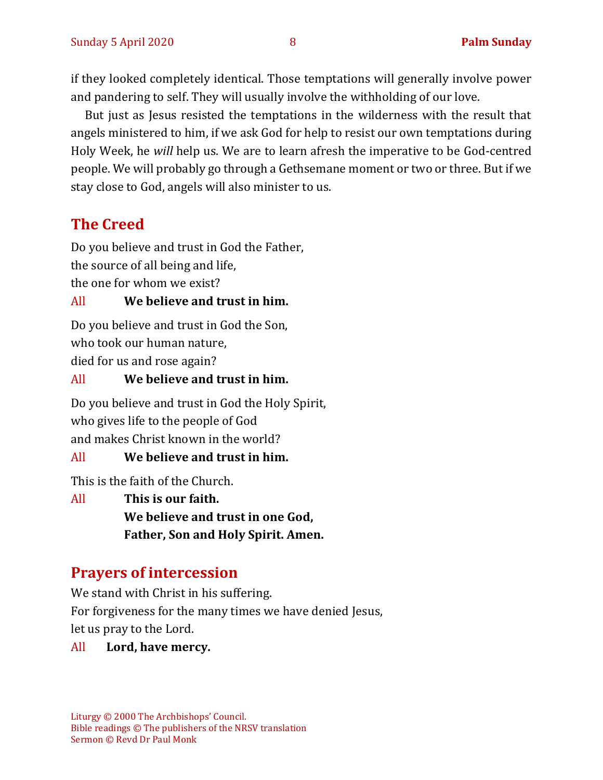if they looked completely identical. Those temptations will generally involve power and pandering to self. They will usually involve the withholding of our love.

But just as Jesus resisted the temptations in the wilderness with the result that angels ministered to him, if we ask God for help to resist our own temptations during Holy Week, he *will* help us. We are to learn afresh the imperative to be God-centred people. We will probably go through a Gethsemane moment or two or three. But if we stay close to God, angels will also minister to us.

# **The Creed**

Do you believe and trust in God the Father,

the source of all being and life,

the one for whom we exist?

## All **We believe and trust in him.**

Do you believe and trust in God the Son, who took our human nature,

died for us and rose again?

## All **We believe and trust in him.**

Do you believe and trust in God the Holy Spirit, who gives life to the people of God and makes Christ known in the world?

All **We believe and trust in him.**

This is the faith of the Church.

All **This is our faith. We believe and trust in one God, Father, Son and Holy Spirit. Amen.**

# **Prayers of intercession**

We stand with Christ in his suffering. For forgiveness for the many times we have denied Jesus, let us pray to the Lord.

All **Lord, have mercy.**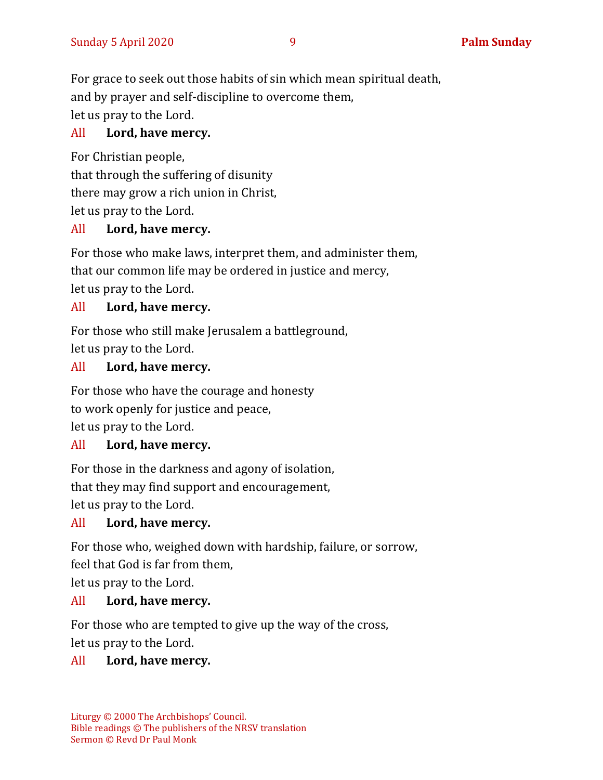For grace to seek out those habits of sin which mean spiritual death, and by prayer and self-discipline to overcome them, let us pray to the Lord.

#### All **Lord, have mercy.**

For Christian people, that through the suffering of disunity there may grow a rich union in Christ, let us pray to the Lord.

#### All **Lord, have mercy.**

For those who make laws, interpret them, and administer them, that our common life may be ordered in justice and mercy,

let us pray to the Lord.

#### All **Lord, have mercy.**

For those who still make Jerusalem a battleground, let us pray to the Lord.

#### All **Lord, have mercy.**

For those who have the courage and honesty to work openly for justice and peace, let us pray to the Lord.

#### All **Lord, have mercy.**

For those in the darkness and agony of isolation,

that they may find support and encouragement,

let us pray to the Lord.

#### All **Lord, have mercy.**

For those who, weighed down with hardship, failure, or sorrow, feel that God is far from them,

let us pray to the Lord.

#### All **Lord, have mercy.**

For those who are tempted to give up the way of the cross, let us pray to the Lord.

#### All **Lord, have mercy.**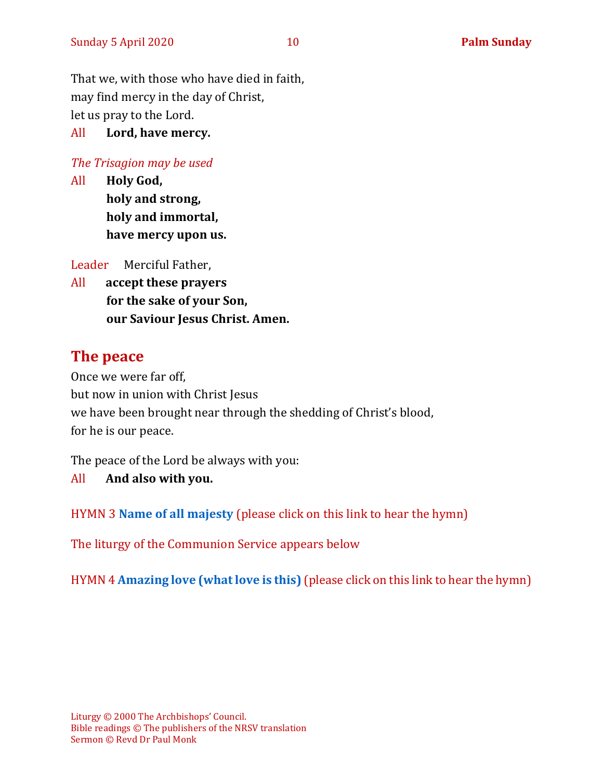That we, with those who have died in faith, may find mercy in the day of Christ, let us pray to the Lord.

All **Lord, have mercy.**

*The Trisagion may be used*

All **Holy God, holy and strong, holy and immortal, have mercy upon us.**

Leader Merciful Father,

All **accept these prayers for the sake of your Son, our Saviour Jesus Christ. Amen.**

# **The peace**

Once we were far off, but now in union with Christ Jesus we have been brought near through the shedding of Christ's blood, for he is our peace.

The peace of the Lord be always with you:

## All **And also with you.**

HYMN 3 **[Name of all majesty](https://www.youtube.com/watch?v=VU65_YVBoOI)** (please click on this link to hear the hymn)

The liturgy of the Communion Service appears below

HYMN 4 **[Amazing love \(what love is this\)](https://www.youtube.com/watch?v=ItR0E1lg7lY)** (please click on this link to hear the hymn)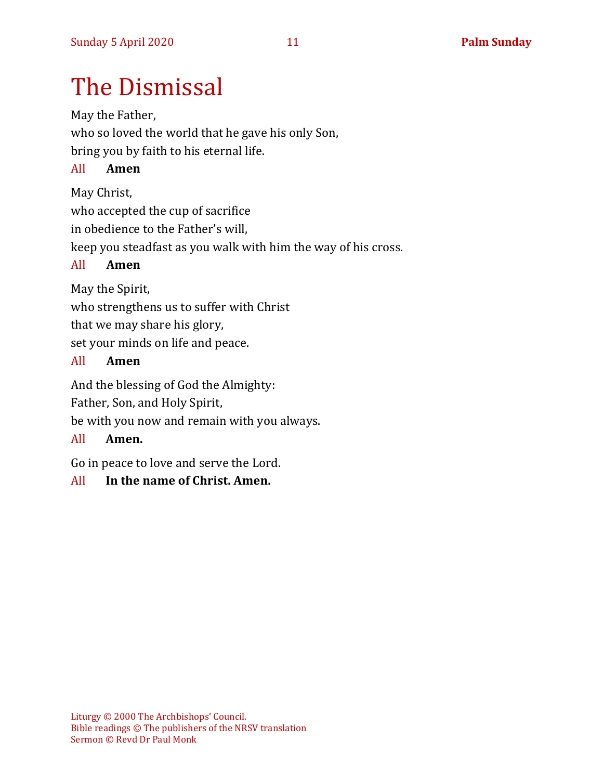# The Dismissal

May the Father, who so loved the world that he gave his only Son, bring you by faith to his eternal life.

#### All **Amen**

May Christ, who accepted the cup of sacrifice in obedience to the Father's will, keep you steadfast as you walk with him the way of his cross.

## All **Amen**

May the Spirit,

who strengthens us to suffer with Christ

that we may share his glory,

set your minds on life and peace.

## All **Amen**

And the blessing of God the Almighty:

Father, Son, and Holy Spirit,

be with you now and remain with you always.

All **Amen.**

Go in peace to love and serve the Lord.

## All **In the name of Christ. Amen.**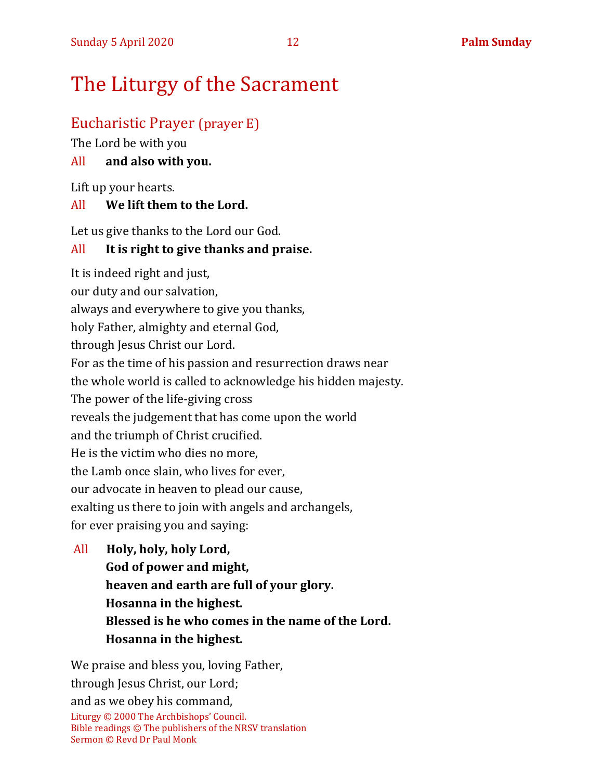# The Liturgy of the Sacrament

## Eucharistic Prayer (prayer E)

The Lord be with you

#### All **and also with you.**

Lift up your hearts.

#### All **We lift them to the Lord.**

Let us give thanks to the Lord our God.

#### All **It is right to give thanks and praise.**

It is indeed right and just, our duty and our salvation, always and everywhere to give you thanks, holy Father, almighty and eternal God, through Jesus Christ our Lord. For as the time of his passion and resurrection draws near the whole world is called to acknowledge his hidden majesty. The power of the life-giving cross reveals the judgement that has come upon the world and the triumph of Christ crucified. He is the victim who dies no more, the Lamb once slain, who lives for ever, our advocate in heaven to plead our cause, exalting us there to join with angels and archangels, for ever praising you and saying:

- All **Holy, holy, holy Lord,**
	- **God of power and might, heaven and earth are full of your glory. Hosanna in the highest. Blessed is he who comes in the name of the Lord. Hosanna in the highest.**

Liturgy © 2000 The Archbishops' Council. Bible readings © The publishers of the NRSV translation Sermon © Revd Dr Paul Monk We praise and bless you, loving Father, through Jesus Christ, our Lord; and as we obey his command,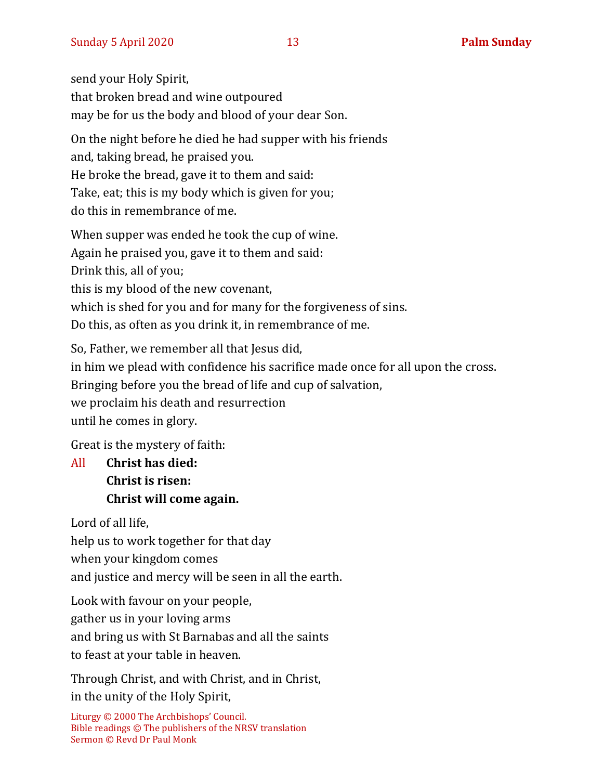send your Holy Spirit, that broken bread and wine outpoured may be for us the body and blood of your dear Son.

On the night before he died he had supper with his friends and, taking bread, he praised you. He broke the bread, gave it to them and said: Take, eat; this is my body which is given for you; do this in remembrance of me.

When supper was ended he took the cup of wine. Again he praised you, gave it to them and said: Drink this, all of you; this is my blood of the new covenant, which is shed for you and for many for the forgiveness of sins. Do this, as often as you drink it, in remembrance of me.

So, Father, we remember all that Jesus did, in him we plead with confidence his sacrifice made once for all upon the cross. Bringing before you the bread of life and cup of salvation, we proclaim his death and resurrection until he comes in glory.

Great is the mystery of faith:

All **Christ has died: Christ is risen: Christ will come again.**

Lord of all life, help us to work together for that day when your kingdom comes and justice and mercy will be seen in all the earth.

Look with favour on your people, gather us in your loving arms and bring us with St Barnabas and all the saints to feast at your table in heaven.

Through Christ, and with Christ, and in Christ, in the unity of the Holy Spirit,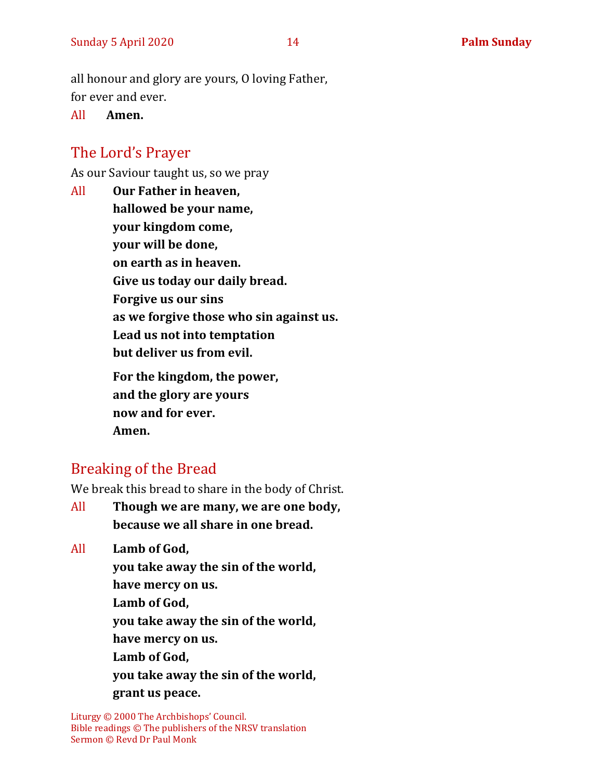all honour and glory are yours, O loving Father, for ever and ever.

All **Amen.**

# The Lord's Prayer

As our Saviour taught us, so we pray

All **Our Father in heaven, hallowed be your name, your kingdom come, your will be done, on earth as in heaven. Give us today our daily bread. Forgive us our sins as we forgive those who sin against us. Lead us not into temptation but deliver us from evil. For the kingdom, the power, and the glory are yours now and for ever.** 

**Amen.**

## Breaking of the Bread

We break this bread to share in the body of Christ.

- All **Though we are many, we are one body, because we all share in one bread.**
- All **Lamb of God,**

**you take away the sin of the world,**

- **have mercy on us.**
- **Lamb of God,**

**you take away the sin of the world,** 

**have mercy on us.**

**Lamb of God,** 

**you take away the sin of the world,**

**grant us peace.**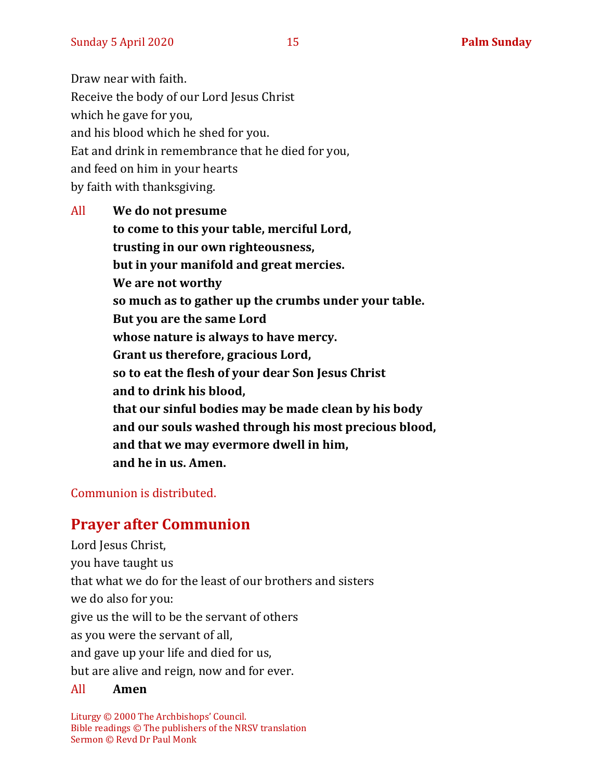Draw near with faith. Receive the body of our Lord Jesus Christ which he gave for you, and his blood which he shed for you. Eat and drink in remembrance that he died for you, and feed on him in your hearts by faith with thanksgiving.

All **We do not presume to come to this your table, merciful Lord, trusting in our own righteousness, but in your manifold and great mercies. We are not worthy so much as to gather up the crumbs under your table. But you are the same Lord whose nature is always to have mercy. Grant us therefore, gracious Lord, so to eat the flesh of your dear Son Jesus Christ and to drink his blood, that our sinful bodies may be made clean by his body and our souls washed through his most precious blood, and that we may evermore dwell in him, and he in us. Amen.**

#### Communion is distributed.

## **Prayer after Communion**

Lord Jesus Christ, you have taught us that what we do for the least of our brothers and sisters we do also for you: give us the will to be the servant of others as you were the servant of all, and gave up your life and died for us, but are alive and reign, now and for ever.

#### All **Amen**

Liturgy © 2000 The Archbishops' Council. Bible readings © The publishers of the NRSV translation Sermon © Revd Dr Paul Monk